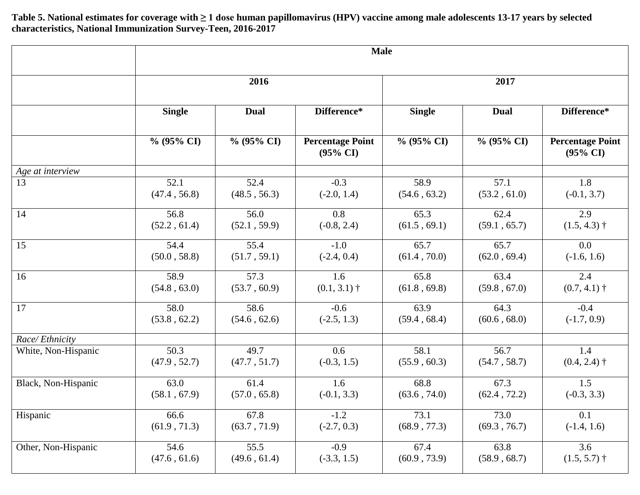**Table 5. National estimates for coverage with ≥ 1 dose human papillomavirus (HPV) vaccine among male adolescents 13-17 years by selected characteristics, National Immunization Survey-Teen, 2016-2017**

|                     | <b>Male</b>   |               |                                                |               |               |                                                |  |  |
|---------------------|---------------|---------------|------------------------------------------------|---------------|---------------|------------------------------------------------|--|--|
|                     | 2016          |               |                                                | 2017          |               |                                                |  |  |
|                     | <b>Single</b> | <b>Dual</b>   | Difference*                                    | <b>Single</b> | <b>Dual</b>   | Difference*                                    |  |  |
|                     | $\%$ (95% CI) | $\%$ (95% CI) | <b>Percentage Point</b><br>$(95\% \text{ CI})$ | $\%$ (95% CI) | $\%$ (95% CI) | <b>Percentage Point</b><br>$(95\% \text{ CI})$ |  |  |
| Age at interview    |               |               |                                                |               |               |                                                |  |  |
| 13                  | 52.1          | 52.4          | $-0.3$                                         | 58.9          | 57.1          | 1.8                                            |  |  |
|                     | (47.4, 56.8)  | (48.5, 56.3)  | $(-2.0, 1.4)$                                  | (54.6, 63.2)  | (53.2, 61.0)  | $(-0.1, 3.7)$                                  |  |  |
| 14                  | 56.8          | 56.0          | 0.8                                            | 65.3          | 62.4          | 2.9                                            |  |  |
|                     | (52.2, 61.4)  | (52.1, 59.9)  | $(-0.8, 2.4)$                                  | (61.5, 69.1)  | (59.1, 65.7)  | $(1.5, 4.3)$ †                                 |  |  |
| 15                  | 54.4          | 55.4          | $-1.0$                                         | 65.7          | 65.7          | 0.0                                            |  |  |
|                     | (50.0, 58.8)  | (51.7, 59.1)  | $(-2.4, 0.4)$                                  | (61.4, 70.0)  | (62.0, 69.4)  | $(-1.6, 1.6)$                                  |  |  |
| 16                  | 58.9          | 57.3          | 1.6                                            | 65.8          | 63.4          | 2.4                                            |  |  |
|                     | (54.8, 63.0)  | (53.7, 60.9)  | $(0.1, 3.1)$ †                                 | (61.8, 69.8)  | (59.8, 67.0)  | $(0.7, 4.1)$ †                                 |  |  |
| 17                  | 58.0          | 58.6          | $-0.6$                                         | 63.9          | 64.3          | $-0.4$                                         |  |  |
|                     | (53.8, 62.2)  | (54.6, 62.6)  | $(-2.5, 1.3)$                                  | (59.4, 68.4)  | (60.6, 68.0)  | $(-1.7, 0.9)$                                  |  |  |
| Race/Ethnicity      |               |               |                                                |               |               |                                                |  |  |
| White, Non-Hispanic | 50.3          | 49.7          | 0.6                                            | 58.1          | 56.7          | 1.4                                            |  |  |
|                     | (47.9, 52.7)  | (47.7, 51.7)  | $(-0.3, 1.5)$                                  | (55.9, 60.3)  | (54.7, 58.7)  | $(0.4, 2.4)$ †                                 |  |  |
| Black, Non-Hispanic | 63.0          | 61.4          | 1.6                                            | 68.8          | 67.3          | 1.5                                            |  |  |
|                     | (58.1, 67.9)  | (57.0, 65.8)  | $(-0.1, 3.3)$                                  | (63.6, 74.0)  | (62.4, 72.2)  | $(-0.3, 3.3)$                                  |  |  |
| Hispanic            | 66.6          | 67.8          | $-1.2$                                         | 73.1          | 73.0          | 0.1                                            |  |  |
|                     | (61.9, 71.3)  | (63.7, 71.9)  | $(-2.7, 0.3)$                                  | (68.9, 77.3)  | (69.3, 76.7)  | $(-1.4, 1.6)$                                  |  |  |
| Other, Non-Hispanic | 54.6          | 55.5          | $-0.9$                                         | 67.4          | 63.8          | 3.6                                            |  |  |
|                     | (47.6, 61.6)  | (49.6, 61.4)  | $(-3.3, 1.5)$                                  | (60.9, 73.9)  | (58.9, 68.7)  | $(1.5, 5.7)$ †                                 |  |  |